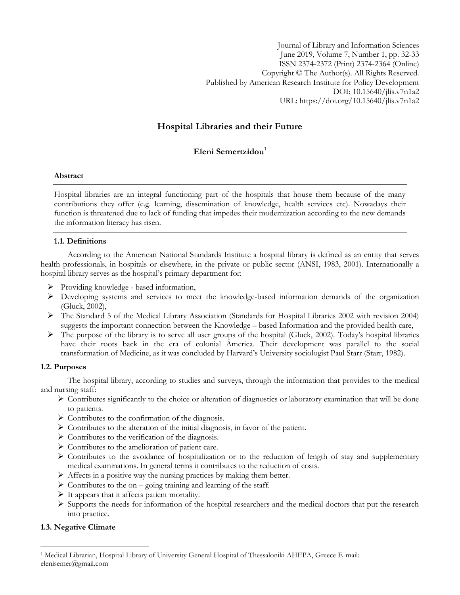Journal of Library and Information Sciences June 2019, Volume 7, Number 1, pp. 32-33 ISSN 2374-2372 (Print) 2374-2364 (Online) Copyright © The Author(s). All Rights Reserved. Published by American Research Institute for Policy Development DOI: 10.15640/jlis.v7n1a2 URL: https://doi.org/10.15640/jlis.v7n1a2

# **Hospital Libraries and their Future**

# **Eleni Semertzidou<sup>1</sup>**

## **Abstract**

Hospital libraries are an integral functioning part of the hospitals that house them because of the many contributions they offer (e.g. learning, dissemination of knowledge, health services etc). Nowadays their function is threatened due to lack of funding that impedes their modernization according to the new demands the information literacy has risen.

## **1.1. Definitions**

According to the American National Standards Institute a hospital library is defined as an entity that serves health professionals, in hospitals or elsewhere, in the private or public sector (ANSI, 1983, 2001). Internationally a hospital library serves as the hospital's primary department for:

- $\triangleright$  Providing knowledge based information,
- $\triangleright$  Developing systems and services to meet the knowledge-based information demands of the organization (Gluck, 2002),
- The Standard 5 of the Medical Library Association (Standards for Hospital Libraries 2002 with revision 2004) suggests the important connection between the Knowledge – based Information and the provided health care,
- $\triangleright$  The purpose of the library is to serve all user groups of the hospital (Gluck, 2002). Today's hospital libraries have their roots back in the era of colonial America. Their development was parallel to the social transformation of Medicine, as it was concluded by Harvard's University sociologist Paul Starr (Starr, 1982).

#### **1.2. Purposes**

The hospital library, according to studies and surveys, through the information that provides to the medical and nursing staff:

- $\triangleright$  Contributes significantly to the choice or alteration of diagnostics or laboratory examination that will be done to patients.
- $\triangleright$  Contributes to the confirmation of the diagnosis.
- $\triangleright$  Contributes to the alteration of the initial diagnosis, in favor of the patient.
- $\triangleright$  Contributes to the verification of the diagnosis.
- $\triangleright$  Contributes to the amelioration of patient care.
- $\triangleright$  Contributes to the avoidance of hospitalization or to the reduction of length of stay and supplementary medical examinations. In general terms it contributes to the reduction of costs.
- $\triangleright$  Affects in a positive way the nursing practices by making them better.
- $\triangleright$  Contributes to the on going training and learning of the staff.
- $\triangleright$  It appears that it affects patient mortality.
- $\triangleright$  Supports the needs for information of the hospital researchers and the medical doctors that put the research into practice.

#### **1.3. Negative Climate**

 $\overline{a}$ 

<sup>1</sup> Medical Librarian, Hospital Library of University General Hospital of Thessaloniki AHEPA, Greece E-mail: elenisemer@gmail.com